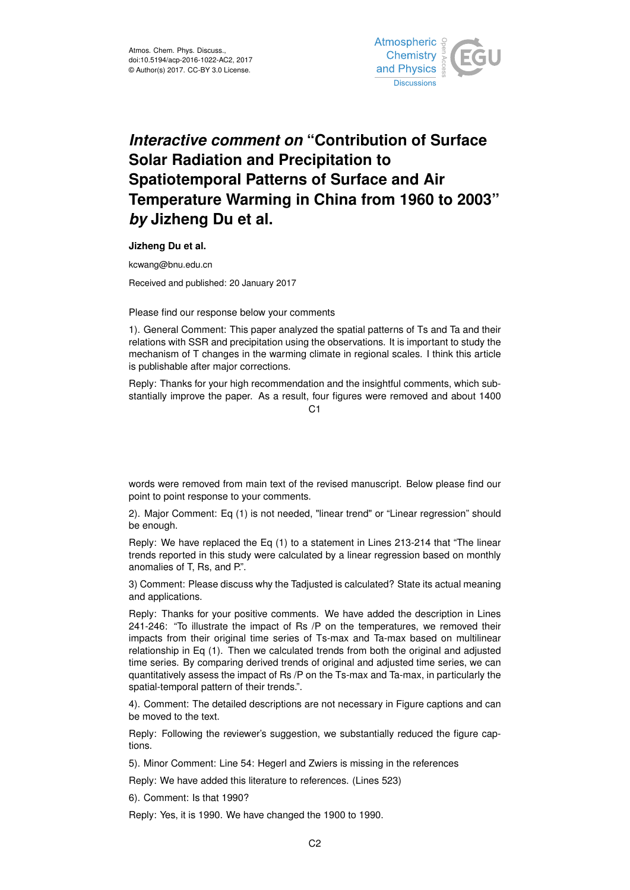

## *Interactive comment on* **"Contribution of Surface Solar Radiation and Precipitation to Spatiotemporal Patterns of Surface and Air Temperature Warming in China from 1960 to 2003"** *by* **Jizheng Du et al.**

**Jizheng Du et al.**

kcwang@bnu.edu.cn

Received and published: 20 January 2017

Please find our response below your comments

1). General Comment: This paper analyzed the spatial patterns of Ts and Ta and their relations with SSR and precipitation using the observations. It is important to study the mechanism of T changes in the warming climate in regional scales. I think this article is publishable after major corrections.

Reply: Thanks for your high recommendation and the insightful comments, which substantially improve the paper. As a result, four figures were removed and about 1400

 $C<sub>1</sub>$ 

words were removed from main text of the revised manuscript. Below please find our point to point response to your comments.

2). Major Comment: Eq (1) is not needed, "linear trend" or "Linear regression" should be enough.

Reply: We have replaced the Eq (1) to a statement in Lines 213-214 that "The linear trends reported in this study were calculated by a linear regression based on monthly anomalies of T, Rs, and P.".

3) Comment: Please discuss why the Tadjusted is calculated? State its actual meaning and applications.

Reply: Thanks for your positive comments. We have added the description in Lines 241-246: "To illustrate the impact of Rs /P on the temperatures, we removed their impacts from their original time series of Ts-max and Ta-max based on multilinear relationship in Eq (1). Then we calculated trends from both the original and adjusted time series. By comparing derived trends of original and adjusted time series, we can quantitatively assess the impact of Rs /P on the Ts-max and Ta-max, in particularly the spatial-temporal pattern of their trends.".

4). Comment: The detailed descriptions are not necessary in Figure captions and can be moved to the text.

Reply: Following the reviewer's suggestion, we substantially reduced the figure captions.

5). Minor Comment: Line 54: Hegerl and Zwiers is missing in the references

Reply: We have added this literature to references. (Lines 523)

6). Comment: Is that 1990?

Reply: Yes, it is 1990. We have changed the 1900 to 1990.